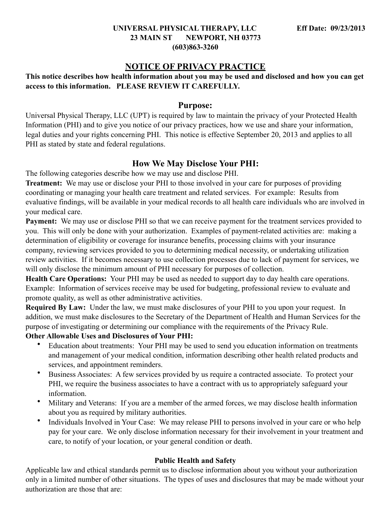#### **UNIVERSAL PHYSICAL THERAPY, LLC Eff Date: 09/23/2013 23 MAIN ST NEWPORT, NH 03773 (603)863-3260**

# **NOTICE OF PRIVACY PRACTICE**

**This notice describes how health information about you may be used and disclosed and how you can get access to this information. PLEASE REVIEW IT CAREFULLY.**

#### **Purpose:**

Universal Physical Therapy, LLC (UPT) is required by law to maintain the privacy of your Protected Health Information (PHI) and to give you notice of our privacy practices, how we use and share your information, legal duties and your rights concerning PHI. This notice is effective September 20, 2013 and applies to all PHI as stated by state and federal regulations.

# **How We May Disclose Your PHI:**

The following categories describe how we may use and disclose PHI.

**Treatment:** We may use or disclose your PHI to those involved in your care for purposes of providing coordinating or managing your health care treatment and related services. For example: Results from evaluative findings, will be available in your medical records to all health care individuals who are involved in your medical care.

**Payment:** We may use or disclose PHI so that we can receive payment for the treatment services provided to you. This will only be done with your authorization. Examples of payment-related activities are: making a determination of eligibility or coverage for insurance benefits, processing claims with your insurance company, reviewing services provided to you to determining medical necessity, or undertaking utilization review activities. If it becomes necessary to use collection processes due to lack of payment for services, we will only disclose the minimum amount of PHI necessary for purposes of collection.

**Health Care Operations:** Your PHI may be used as needed to support day to day health care operations. Example: Information of services receive may be used for budgeting, professional review to evaluate and promote quality, as well as other administrative activities.

**Required By Law:** Under the law, we must make disclosures of your PHI to you upon your request. In addition, we must make disclosures to the Secretary of the Department of Health and Human Services for the purpose of investigating or determining our compliance with the requirements of the Privacy Rule.

# **Other Allowable Uses and Disclosures of Your PHI:**

- Education about treatments: Your PHI may be used to send you education information on treatments and management of your medical condition, information describing other health related products and services, and appointment reminders.
- Business Associates: A few services provided by us require a contracted associate. To protect your PHI, we require the business associates to have a contract with us to appropriately safeguard your information.
- Military and Veterans: If you are a member of the armed forces, we may disclose health information about you as required by military authorities.
- Individuals Involved in Your Case: We may release PHI to persons involved in your care or who help pay for your care. We only disclose information necessary for their involvement in your treatment and care, to notify of your location, or your general condition or death.

#### **Public Health and Safety**

Applicable law and ethical standards permit us to disclose information about you without your authorization only in a limited number of other situations. The types of uses and disclosures that may be made without your authorization are those that are: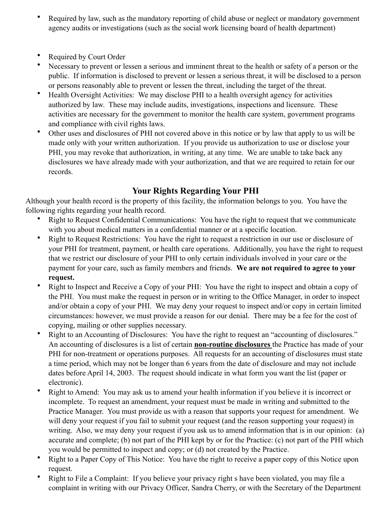- Required by law, such as the mandatory reporting of child abuse or neglect or mandatory government agency audits or investigations (such as the social work licensing board of health department)
- **Required by Court Order**
- Necessary to prevent or lessen a serious and imminent threat to the health or safety of a person or the public. If information is disclosed to prevent or lessen a serious threat, it will be disclosed to a person or persons reasonably able to prevent or lessen the threat, including the target of the threat.
- Health Oversight Activities: We may disclose PHI to a health oversight agency for activities authorized by law. These may include audits, investigations, inspections and licensure. These activities are necessary for the government to monitor the health care system, government programs and compliance with civil rights laws.
- Other uses and disclosures of PHI not covered above in this notice or by law that apply to us will be made only with your written authorization. If you provide us authorization to use or disclose your PHI, you may revoke that authorization, in writing, at any time. We are unable to take back any disclosures we have already made with your authorization, and that we are required to retain for our records.

# **Your Rights Regarding Your PHI**

Although your health record is the property of this facility, the information belongs to you. You have the following rights regarding your health record.

- Right to Request Confidential Communications: You have the right to request that we communicate with you about medical matters in a confidential manner or at a specific location.
- Right to Request Restrictions: You have the right to request a restriction in our use or disclosure of your PHI for treatment, payment, or health care operations. Additionally, you have the right to request that we restrict our disclosure of your PHI to only certain individuals involved in your care or the payment for your care, such as family members and friends. **We are not required to agree to your request.**
- Right to Inspect and Receive a Copy of your PHI: You have the right to inspect and obtain a copy of the PHI. You must make the request in person or in writing to the Office Manager, in order to inspect and/or obtain a copy of your PHI. We may deny your request to inspect and/or copy in certain limited circumstances: however, we must provide a reason for our denial. There may be a fee for the cost of copying, mailing or other supplies necessary.
- Right to an Accounting of Disclosures: You have the right to request an "accounting of disclosures." An accounting of disclosures is a list of certain **non-routine disclosures** the Practice has made of your PHI for non-treatment or operations purposes. All requests for an accounting of disclosures must state a time period, which may not be longer than 6 years from the date of disclosure and may not include dates before April 14, 2003. The request should indicate in what form you want the list (paper or electronic).
- Right to Amend: You may ask us to amend your health information if you believe it is incorrect or incomplete. To request an amendment, your request must be made in writing and submitted to the Practice Manager. You must provide us with a reason that supports your request for amendment. We will deny your request if you fail to submit your request (and the reason supporting your request) in writing. Also, we may deny your request if you ask us to amend information that is in our opinion: (a) accurate and complete; (b) not part of the PHI kept by or for the Practice: (c) not part of the PHI which you would be permitted to inspect and copy; or (d) not created by the Practice.
- Right to a Paper Copy of This Notice: You have the right to receive a paper copy of this Notice upon request.
- Right to File a Complaint: If you believe your privacy right s have been violated, you may file a complaint in writing with our Privacy Officer, Sandra Cherry, or with the Secretary of the Department